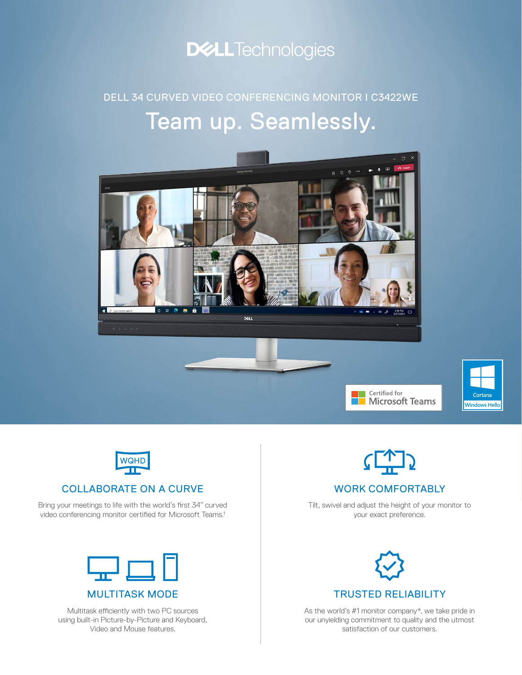

### Team up. Seamlessly. DELL 34 CURVED VIDEO CONFERENCING MONITOR I C3422WE







#### COLLABORATE ON A CURVE

Bring your meetings to life with the world's first 34" curved video conferencing monitor certified for Microsoft Teams.†



Multitask efficiently with two PC sources using built-in Picture-by-Picture and Keyboard, Video and Mouse features.



Certified for<br>**Microsoft Teams** 



### WORK COMFORTABLY

Tilt, swivel and adjust the height of your monitor to your exact preference.



As the world's #1 monitor company\*, we take pride in our unyielding commitment to quality and the utmost satisfaction of our customers.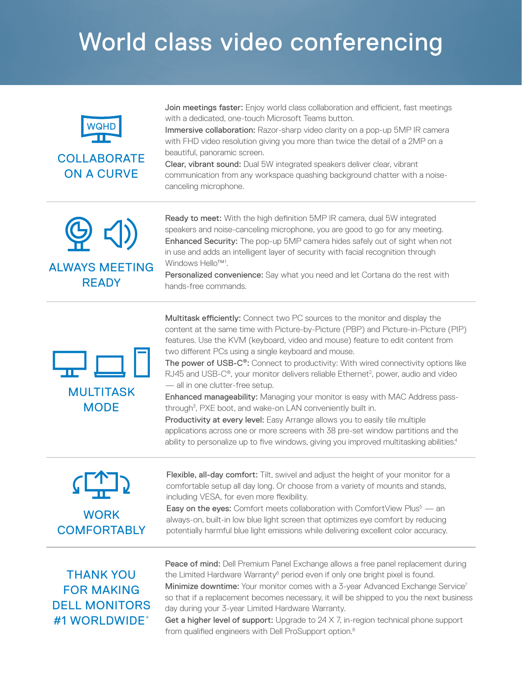## World class video conferencing



Join meetings faster: Enjoy world class collaboration and efficient, fast meetings with a dedicated, one-touch Microsoft Teams button.

Immersive collaboration: Razor-sharp video clarity on a pop-up 5MP IR camera with FHD video resolution giving you more than twice the detail of a 2MP on a beautiful, panoramic screen.

Clear, vibrant sound: Dual 5W integrated speakers deliver clear, vibrant communication from any workspace quashing background chatter with a noisecanceling microphone.



Ready to meet: With the high definition 5MP IR camera, dual 5W integrated speakers and noise-canceling microphone, you are good to go for any meeting. Enhanced Security: The pop-up 5MP camera hides safely out of sight when not in use and adds an intelligent layer of security with facial recognition through Windows Hello<sup>™1</sup>.

Personalized convenience: Say what you need and let Cortana do the rest with hands-free commands.





Multitask efficiently: Connect two PC sources to the monitor and display the content at the same time with Picture-by-Picture (PBP) and Picture-in-Picture (PIP) features. Use the KVM (keyboard, video and mouse) feature to edit content from two different PCs using a single keyboard and mouse.

The power of USB-C®: Connect to productivity: With wired connectivity options like RJ45 and USB-C®, your monitor delivers reliable Ethernet<sup>2</sup>, power, audio and video — all in one clutter-free setup.

Enhanced manageability: Managing your monitor is easy with MAC Address passthrough<sup>3</sup>, PXE boot, and wake-on LAN conveniently built in.

Productivity at every level: Easy Arrange allows you to easily tile multiple applications across one or more screens with 38 pre-set window partitions and the ability to personalize up to five windows, giving you improved multitasking abilities.<sup>4</sup>

**WORK COMFORTABLY**  Flexible, all-day comfort: Tilt, swivel and adjust the height of your monitor for a comfortable setup all day long. Or choose from a variety of mounts and stands, including VESA, for even more flexibility.

**Easy on the eyes:** Comfort meets collaboration with ComfortView Plus $5 -$  an always-on, built-in low blue light screen that optimizes eye comfort by reducing potentially harmful blue light emissions while delivering excellent color accuracy.

THANK YOU FOR MAKING DELL MONITORS #1 WORLDWIDE\*

Peace of mind: Dell Premium Panel Exchange allows a free panel replacement during the Limited Hardware Warranty<sup>6</sup> period even if only one bright pixel is found. Minimize downtime: Your monitor comes with a 3-year Advanced Exchange Service<sup>7</sup> so that if a replacement becomes necessary, it will be shipped to you the next business day during your 3-year Limited Hardware Warranty.

Get a higher level of support: Upgrade to  $24 \times 7$ , in-region technical phone support from qualified engineers with Dell ProSupport option.<sup>8</sup>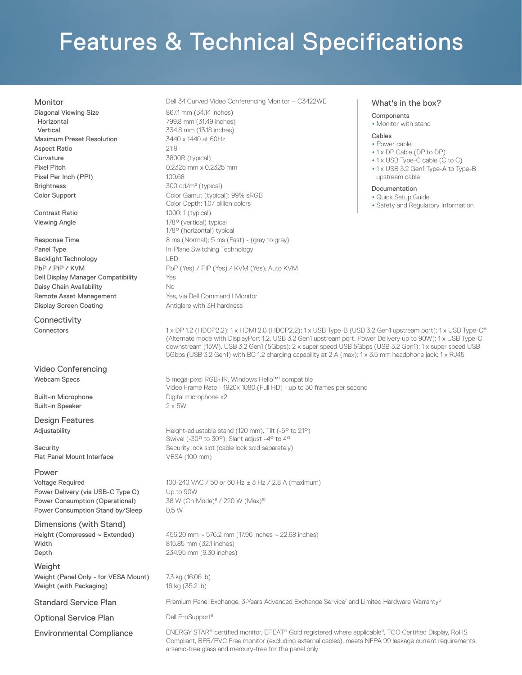# Features & Technical Specifications

Diagonal Viewing Size **867.1 mm** (34.14 inches) Horizontal Vertical Maximum Preset Resolution 3440 x 1440 at 60Hz Aspect Ratio 21:9 Curvature 3800R (typical) Pixel Pitch **Disk Commentary 10.2325 mm x 0.2325 mm** Pixel Per Inch (PPI) 109.68 Brightness 300 cd/m<sup>2</sup> (typical)

Panel Type **In-Plane Switching Technology** Backlight Technology LED Dell Display Manager Compatibility Yes Daisy Chain Availability No Remote Asset Management **Yes**, via Dell Command I Monitor Display Screen Coating **Antiglare with 3H hardness** 

**Connectivity** 

Video Conferencing

Built-in Speaker 2 x 5W

Design Features

Flat Panel Mount Interface VESA (100 mm)

Power Power Delivery (via USB-C Type C) Up to 90W Power Consumption (Operational) Power Consumption Stand by/Sleep 0.5 W

Dimensions (with Stand) Width 815.85 mm (32.1 inches) Depth 234.95 mm (9.30 inches)

Weight Weight (Panel Only - for VESA Mount) 7.3 kg (16.06 lb) Weight (with Packaging) 16 kg (35.2 lb)

Optional Service Plan Dell ProSupport<sup>8</sup>

Monitor **Monitor** 2012 **Dell 34 Curved Video Conferencing Monitor – C3422WE** 

799.8 mm (31.49 inches) 334.8 mm (13.18 inches) Color Support Color Gamut (typical): 99% sRGB Color Depth: 1.07 billion colors Contrast Ratio 1000: 1 (typical) Viewing Angle 178° (vertical) typical 178° (horizontal) typical Response Time **8 ms** (Normal); 5 ms (Fast) - (gray to gray) PbP / PiP / KVM PbP (Yes) / PiP (Yes) / KVM (Yes), Auto KVM What's in the box?

#### • Monitor with stand

**Components** 

#### Cables

- Power cable
- •1 x DP Cable (DP to DP) • 1 x USB Type-C cable (C to C)
- •1 x USB 3.2 Gen1 Type-A to Type-B upstream cable

#### Documentation

- Quick Setup Guide
- Safety and Regulatory Information

Connectors 1 x DP 1.2 (HDCP2.2); 1 x HDMI 2.0 (HDCP2.2); 1 x USB Type-B (USB 3.2 Gen1 upstream port); 1 x USB Type-C<sup>®</sup> (Alternate mode with DisplayPort 1.2, USB 3.2 Gen1 upstream port, Power Delivery up to 90W); 1 x USB Type-C downstream (15W), USB 3.2 Gen1 (5Gbps); 2 x super speed USB 5Gbps (USB 3.2 Gen1); 1 x super speed USB 5Gbps (USB 3.2 Gen1) with BC 1.2 charging capability at 2 A (max); 1 x 3.5 mm headphone jack; 1 x RJ45

Webcam Specs 5 mega-pixel RGB+IR, Windows Hello™1 compatible Video Frame Rate - 1920x 1080 (Full HD) - up to 30 frames per second Built-in Microphone **Digital microphone x2** 

Adjustability **Adjustability** Height-adjustable stand (120 mm), Tilt (-5° to 21°) Swivel (-30° to 30°), Slant adjust -4° to 4° Security Security lock slot (cable lock sold separately)

Voltage Required 100-240 VAC /  $50$  or  $60$  Hz  $\pm$  3 Hz / 2.8 A (maximum) 38 W (On Mode)<sup>9</sup> / 220 W (Max)<sup>10</sup>

Height (Compressed  $\sim$  Extended) 456.20 mm  $\sim$  576.2 mm (17.96 inches  $\sim$  22.68 inches)

Standard Service Plan **Premium Panel Exchange, 3-Years Advanced Exchange Service<sup>7</sup> and Limited Hardware Warranty<sup>6</sup>** 

Environmental Compliance ENERGY STAR® certified monitor, EPEAT® Gold registered where applicable<sup>11</sup>, TCO Certified Display, RoHS Compliant, BFR/PVC Free monitor (excluding external cables), meets NFPA 99 leakage current requirements, arsenic-free glass and mercury-free for the panel only